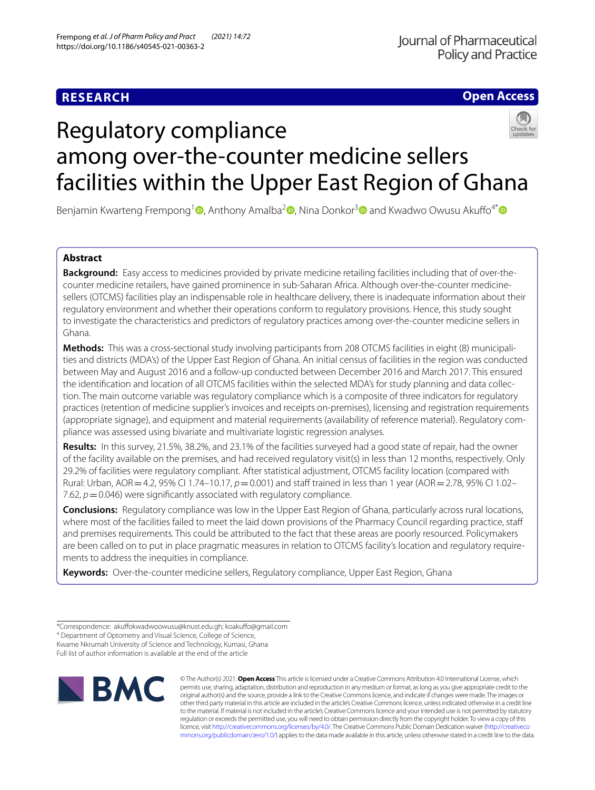# **RESEARCH**

# **Open Access**



# Regulatory compliance among over-the-counter medicine sellers facilities within the Upper East Region of Ghana

Benjamin Kwarteng Frempong<sup>1</sup> **.** Anthony Amalba<sup>2</sup> [,](http://orcid.org/0000-0001-6589-9959) Nina Donkor<sup>[3](http://orcid.org/0000-0001-8648-7259)</sup> and Kwadwo Owusu Akuffo<sup>4[\\*](http://orcid.org/0000-0001-6683-249X)</sup> **ID** 

## **Abstract**

**Background:** Easy access to medicines provided by private medicine retailing facilities including that of over-thecounter medicine retailers, have gained prominence in sub-Saharan Africa. Although over-the-counter medicinesellers (OTCMS) facilities play an indispensable role in healthcare delivery, there is inadequate information about their regulatory environment and whether their operations conform to regulatory provisions. Hence, this study sought to investigate the characteristics and predictors of regulatory practices among over-the-counter medicine sellers in Ghana.

**Methods:** This was a cross-sectional study involving participants from 208 OTCMS facilities in eight (8) municipalities and districts (MDA's) of the Upper East Region of Ghana. An initial census of facilities in the region was conducted between May and August 2016 and a follow-up conducted between December 2016 and March 2017. This ensured the identifcation and location of all OTCMS facilities within the selected MDA's for study planning and data collection. The main outcome variable was regulatory compliance which is a composite of three indicators for regulatory practices (retention of medicine supplier's invoices and receipts on-premises), licensing and registration requirements (appropriate signage), and equipment and material requirements (availability of reference material). Regulatory compliance was assessed using bivariate and multivariate logistic regression analyses.

**Results:** In this survey, 21.5%, 38.2%, and 23.1% of the facilities surveyed had a good state of repair, had the owner of the facility available on the premises, and had received regulatory visit(s) in less than 12 months, respectively. Only 29.2% of facilities were regulatory compliant. After statistical adjustment, OTCMS facility location (compared with Rural: Urban, AOR=4.2, 95% CI 1.74–10.17, *p*=0.001) and staf trained in less than 1 year (AOR=2.78, 95% CI 1.02– 7.62,  $p = 0.046$ ) were significantly associated with regulatory compliance.

**Conclusions:** Regulatory compliance was low in the Upper East Region of Ghana, particularly across rural locations, where most of the facilities failed to meet the laid down provisions of the Pharmacy Council regarding practice, staff and premises requirements. This could be attributed to the fact that these areas are poorly resourced. Policymakers are been called on to put in place pragmatic measures in relation to OTCMS facility's location and regulatory requirements to address the inequities in compliance.

**Keywords:** Over-the-counter medicine sellers, Regulatory compliance, Upper East Region, Ghana

Full list of author information is available at the end of the article



© The Author(s) 2021. **Open Access** This article is licensed under a Creative Commons Attribution 4.0 International License, which permits use, sharing, adaptation, distribution and reproduction in any medium or format, as long as you give appropriate credit to the original author(s) and the source, provide a link to the Creative Commons licence, and indicate if changes were made. The images or other third party material in this article are included in the article's Creative Commons licence, unless indicated otherwise in a credit line to the material. If material is not included in the article's Creative Commons licence and your intended use is not permitted by statutory regulation or exceeds the permitted use, you will need to obtain permission directly from the copyright holder. To view a copy of this licence, visit [http://creativecommons.org/licenses/by/4.0/.](http://creativecommons.org/licenses/by/4.0/) The Creative Commons Public Domain Dedication waiver ([http://creativeco](http://creativecommons.org/publicdomain/zero/1.0/) [mmons.org/publicdomain/zero/1.0/](http://creativecommons.org/publicdomain/zero/1.0/)) applies to the data made available in this article, unless otherwise stated in a credit line to the data.

<sup>\*</sup>Correspondence: akufokwadwoowusu@knust.edu.gh; koakufo@gmail.com

<sup>&</sup>lt;sup>4</sup> Department of Optometry and Visual Science, College of Science, Kwame Nkrumah University of Science and Technology, Kumasi, Ghana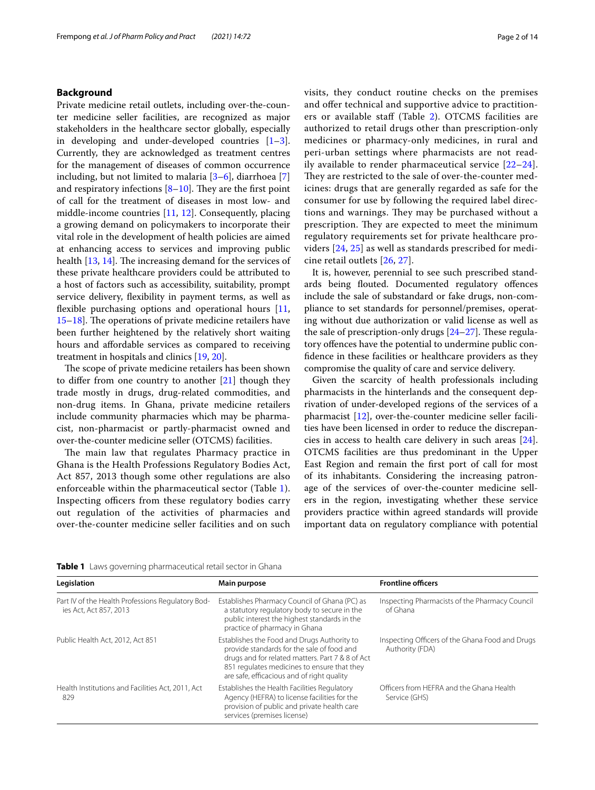## **Background**

Private medicine retail outlets, including over-the-counter medicine seller facilities, are recognized as major stakeholders in the healthcare sector globally, especially in developing and under-developed countries [\[1](#page-12-0)[–3](#page-12-1)]. Currently, they are acknowledged as treatment centres for the management of diseases of common occurrence including, but not limited to malaria [[3–](#page-12-1)[6\]](#page-12-2), diarrhoea [\[7](#page-12-3)] and respiratory infections  $[8-10]$  $[8-10]$ . They are the first point of call for the treatment of diseases in most low- and middle-income countries [\[11](#page-13-1), [12](#page-13-2)]. Consequently, placing a growing demand on policymakers to incorporate their vital role in the development of health policies are aimed at enhancing access to services and improving public health  $[13, 14]$  $[13, 14]$  $[13, 14]$  $[13, 14]$ . The increasing demand for the services of these private healthcare providers could be attributed to a host of factors such as accessibility, suitability, prompt service delivery, fexibility in payment terms, as well as flexible purchasing options and operational hours [\[11](#page-13-1),  $15-18$  $15-18$ ]. The operations of private medicine retailers have been further heightened by the relatively short waiting hours and afordable services as compared to receiving treatment in hospitals and clinics [[19](#page-13-7), [20\]](#page-13-8).

The scope of private medicine retailers has been shown to difer from one country to another [\[21](#page-13-9)] though they trade mostly in drugs, drug-related commodities, and non-drug items. In Ghana, private medicine retailers include community pharmacies which may be pharmacist, non-pharmacist or partly-pharmacist owned and over-the-counter medicine seller (OTCMS) facilities.

The main law that regulates Pharmacy practice in Ghana is the Health Professions Regulatory Bodies Act, Act 857, 2013 though some other regulations are also enforceable within the pharmaceutical sector (Table [1\)](#page-1-0). Inspecting officers from these regulatory bodies carry out regulation of the activities of pharmacies and over-the-counter medicine seller facilities and on such visits, they conduct routine checks on the premises and offer technical and supportive advice to practitioners or available staf (Table [2](#page-2-0)). OTCMS facilities are authorized to retail drugs other than prescription-only medicines or pharmacy-only medicines, in rural and peri-urban settings where pharmacists are not readily available to render pharmaceutical service  $[22-24]$  $[22-24]$  $[22-24]$ . They are restricted to the sale of over-the-counter medicines: drugs that are generally regarded as safe for the consumer for use by following the required label directions and warnings. They may be purchased without a prescription. They are expected to meet the minimum regulatory requirements set for private healthcare providers [[24](#page-13-11), [25\]](#page-13-12) as well as standards prescribed for medicine retail outlets [[26,](#page-13-13) [27\]](#page-13-14).

It is, however, perennial to see such prescribed standards being flouted. Documented regulatory offences include the sale of substandard or fake drugs, non-compliance to set standards for personnel/premises, operating without due authorization or valid license as well as the sale of prescription-only drugs  $[24-27]$  $[24-27]$  $[24-27]$ . These regulatory ofences have the potential to undermine public confdence in these facilities or healthcare providers as they compromise the quality of care and service delivery.

Given the scarcity of health professionals including pharmacists in the hinterlands and the consequent deprivation of under-developed regions of the services of a pharmacist [\[12](#page-13-2)], over-the-counter medicine seller facilities have been licensed in order to reduce the discrepancies in access to health care delivery in such areas [\[24](#page-13-11)]. OTCMS facilities are thus predominant in the Upper East Region and remain the frst port of call for most of its inhabitants. Considering the increasing patronage of the services of over-the-counter medicine sellers in the region, investigating whether these service providers practice within agreed standards will provide important data on regulatory compliance with potential

<span id="page-1-0"></span>**Table 1** Laws governing pharmaceutical retail sector in Ghana

| Legislation                                                                 | Main purpose                                                                                                                                                                                                                               | <b>Frontline officers</b>                                          |
|-----------------------------------------------------------------------------|--------------------------------------------------------------------------------------------------------------------------------------------------------------------------------------------------------------------------------------------|--------------------------------------------------------------------|
| Part IV of the Health Professions Regulatory Bod-<br>ies Act, Act 857, 2013 | Establishes Pharmacy Council of Ghana (PC) as<br>a statutory regulatory body to secure in the<br>public interest the highest standards in the<br>practice of pharmacy in Ghana                                                             | Inspecting Pharmacists of the Pharmacy Council<br>of Ghana         |
| Public Health Act. 2012. Act 851                                            | Establishes the Food and Drugs Authority to<br>provide standards for the sale of food and<br>drugs and for related matters. Part 7 & 8 of Act<br>851 regulates medicines to ensure that they<br>are safe, efficacious and of right quality | Inspecting Officers of the Ghana Food and Drugs<br>Authority (FDA) |
| Health Institutions and Facilities Act, 2011, Act<br>829                    | Establishes the Health Facilities Regulatory<br>Agency (HEFRA) to license facilities for the<br>provision of public and private health care<br>services (premises license)                                                                 | Officers from HFFRA and the Ghana Health<br>Service (GHS)          |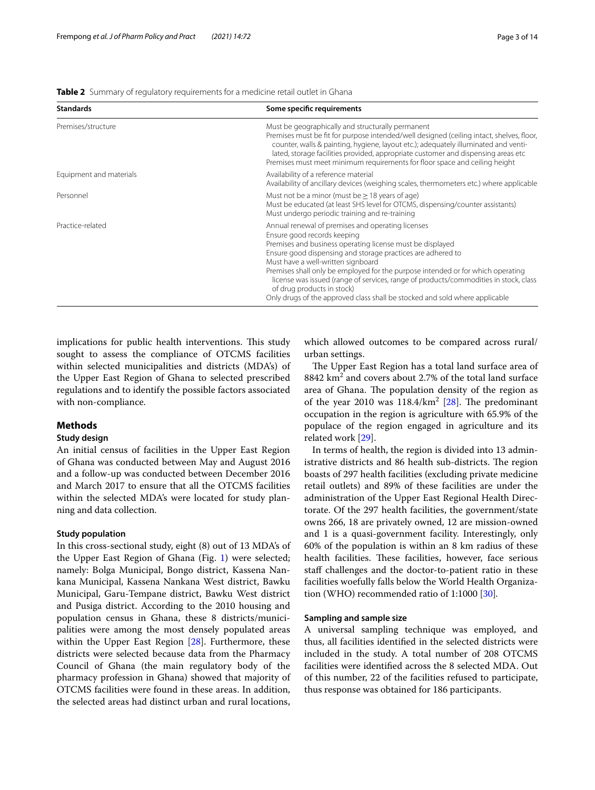<span id="page-2-0"></span>**Table 2** Summary of regulatory requirements for a medicine retail outlet in Ghana

| <b>Standards</b>        | Some specific requirements                                                                                                                                                                                                                                                                                                                                                                                                                                                                                                                 |
|-------------------------|--------------------------------------------------------------------------------------------------------------------------------------------------------------------------------------------------------------------------------------------------------------------------------------------------------------------------------------------------------------------------------------------------------------------------------------------------------------------------------------------------------------------------------------------|
| Premises/structure      | Must be geographically and structurally permanent<br>Premises must be fit for purpose intended/well designed (ceiling intact, shelves, floor,<br>counter, walls & painting, hygiene, layout etc.); adequately illuminated and venti-<br>lated, storage facilities provided, appropriate customer and dispensing areas etc<br>Premises must meet minimum requirements for floor space and ceiling height                                                                                                                                    |
| Equipment and materials | Availability of a reference material<br>Availability of ancillary devices (weighing scales, thermometers etc.) where applicable                                                                                                                                                                                                                                                                                                                                                                                                            |
| Personnel               | Must not be a minor (must be $\geq$ 18 years of age)<br>Must be educated (at least SHS level for OTCMS, dispensing/counter assistants)<br>Must undergo periodic training and re-training                                                                                                                                                                                                                                                                                                                                                   |
| Practice-related        | Annual renewal of premises and operating licenses<br>Ensure good records keeping<br>Premises and business operating license must be displayed<br>Ensure good dispensing and storage practices are adhered to<br>Must have a well-written signboard<br>Premises shall only be employed for the purpose intended or for which operating<br>license was issued (range of services, range of products/commodities in stock, class<br>of drug products in stock)<br>Only drugs of the approved class shall be stocked and sold where applicable |

implications for public health interventions. This study sought to assess the compliance of OTCMS facilities within selected municipalities and districts (MDA's) of the Upper East Region of Ghana to selected prescribed regulations and to identify the possible factors associated with non-compliance.

## **Methods**

#### **Study design**

An initial census of facilities in the Upper East Region of Ghana was conducted between May and August 2016 and a follow-up was conducted between December 2016 and March 2017 to ensure that all the OTCMS facilities within the selected MDA's were located for study planning and data collection.

#### **Study population**

In this cross-sectional study, eight (8) out of 13 MDA's of the Upper East Region of Ghana (Fig. [1](#page-3-0)) were selected; namely: Bolga Municipal, Bongo district, Kassena Nankana Municipal, Kassena Nankana West district, Bawku Municipal, Garu-Tempane district, Bawku West district and Pusiga district. According to the 2010 housing and population census in Ghana, these 8 districts/municipalities were among the most densely populated areas within the Upper East Region [\[28\]](#page-13-15). Furthermore, these districts were selected because data from the Pharmacy Council of Ghana (the main regulatory body of the pharmacy profession in Ghana) showed that majority of OTCMS facilities were found in these areas. In addition, the selected areas had distinct urban and rural locations,

which allowed outcomes to be compared across rural/ urban settings.

The Upper East Region has a total land surface area of  $8842 \text{ km}^2$  and covers about 2.7% of the total land surface area of Ghana. The population density of the region as of the year 2010 was  $118.4/km^2$  [[28\]](#page-13-15). The predominant occupation in the region is agriculture with 65.9% of the populace of the region engaged in agriculture and its related work [\[29](#page-13-16)].

In terms of health, the region is divided into 13 administrative districts and 86 health sub-districts. The region boasts of 297 health facilities (excluding private medicine retail outlets) and 89% of these facilities are under the administration of the Upper East Regional Health Directorate. Of the 297 health facilities, the government/state owns 266, 18 are privately owned, 12 are mission-owned and 1 is a quasi-government facility. Interestingly, only 60% of the population is within an 8 km radius of these health facilities. These facilities, however, face serious staff challenges and the doctor-to-patient ratio in these facilities woefully falls below the World Health Organization (WHO) recommended ratio of 1:1000 [[30](#page-13-17)]*.*

#### **Sampling and sample size**

A universal sampling technique was employed, and thus, all facilities identifed in the selected districts were included in the study. A total number of 208 OTCMS facilities were identifed across the 8 selected MDA. Out of this number, 22 of the facilities refused to participate, thus response was obtained for 186 participants.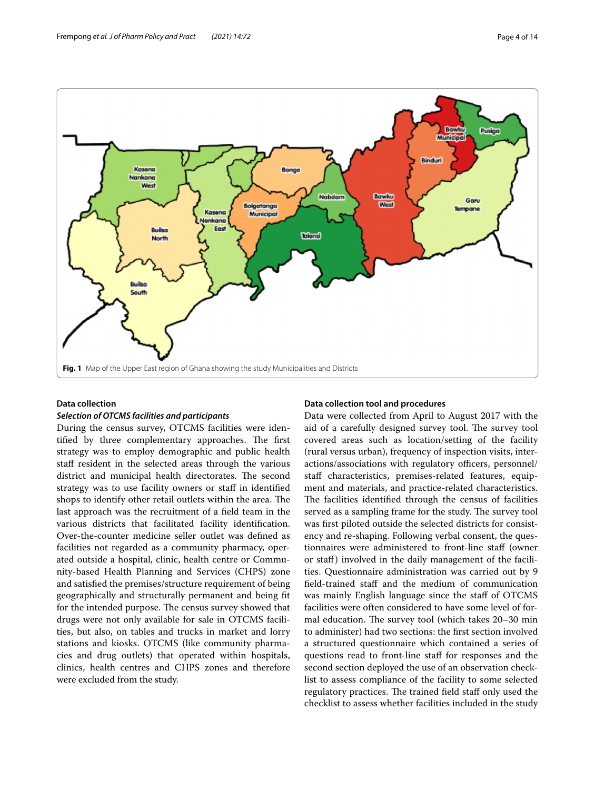

## <span id="page-3-0"></span>**Data collection**

#### *Selection of OTCMS facilities and participants*

During the census survey, OTCMS facilities were identified by three complementary approaches. The first strategy was to employ demographic and public health staff resident in the selected areas through the various district and municipal health directorates. The second strategy was to use facility owners or staf in identifed shops to identify other retail outlets within the area. The last approach was the recruitment of a feld team in the various districts that facilitated facility identifcation. Over-the-counter medicine seller outlet was defned as facilities not regarded as a community pharmacy, operated outside a hospital, clinic, health centre or Community-based Health Planning and Services (CHPS) zone and satisfed the premises/structure requirement of being geographically and structurally permanent and being ft for the intended purpose. The census survey showed that drugs were not only available for sale in OTCMS facilities, but also, on tables and trucks in market and lorry stations and kiosks. OTCMS (like community pharmacies and drug outlets) that operated within hospitals, clinics, health centres and CHPS zones and therefore were excluded from the study.

## **Data collection tool and procedures**

Data were collected from April to August 2017 with the aid of a carefully designed survey tool. The survey tool covered areas such as location/setting of the facility (rural versus urban), frequency of inspection visits, interactions/associations with regulatory officers, personnel/ staff characteristics, premises-related features, equipment and materials, and practice-related characteristics. The facilities identified through the census of facilities served as a sampling frame for the study. The survey tool was frst piloted outside the selected districts for consistency and re-shaping. Following verbal consent, the questionnaires were administered to front-line staf (owner or staf) involved in the daily management of the facilities. Questionnaire administration was carried out by 9 feld-trained staf and the medium of communication was mainly English language since the staff of OTCMS facilities were often considered to have some level of formal education. The survey tool (which takes 20-30 min to administer) had two sections: the frst section involved a structured questionnaire which contained a series of questions read to front-line staf for responses and the second section deployed the use of an observation checklist to assess compliance of the facility to some selected regulatory practices. The trained field staff only used the checklist to assess whether facilities included in the study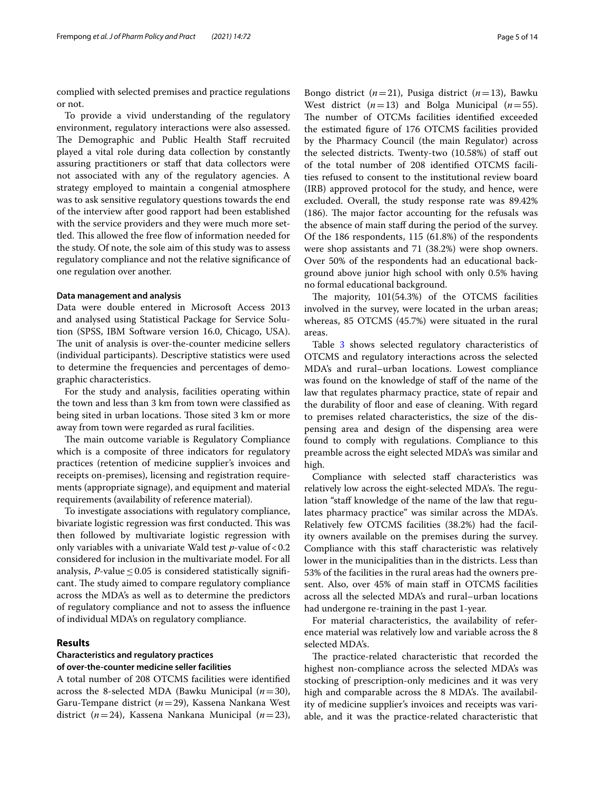complied with selected premises and practice regulations or not.

To provide a vivid understanding of the regulatory environment, regulatory interactions were also assessed. The Demographic and Public Health Staff recruited played a vital role during data collection by constantly assuring practitioners or staff that data collectors were not associated with any of the regulatory agencies. A strategy employed to maintain a congenial atmosphere was to ask sensitive regulatory questions towards the end of the interview after good rapport had been established with the service providers and they were much more settled. This allowed the free flow of information needed for the study. Of note, the sole aim of this study was to assess regulatory compliance and not the relative signifcance of one regulation over another.

#### **Data management and analysis**

Data were double entered in Microsoft Access 2013 and analysed using Statistical Package for Service Solution (SPSS, IBM Software version 16.0, Chicago, USA). The unit of analysis is over-the-counter medicine sellers (individual participants). Descriptive statistics were used to determine the frequencies and percentages of demographic characteristics.

For the study and analysis, facilities operating within the town and less than 3 km from town were classifed as being sited in urban locations. Those sited 3 km or more away from town were regarded as rural facilities.

The main outcome variable is Regulatory Compliance which is a composite of three indicators for regulatory practices (retention of medicine supplier's invoices and receipts on-premises), licensing and registration requirements (appropriate signage), and equipment and material requirements (availability of reference material).

To investigate associations with regulatory compliance, bivariate logistic regression was first conducted. This was then followed by multivariate logistic regression with only variables with a univariate Wald test  $p$ -value of <0.2 considered for inclusion in the multivariate model. For all analysis, *P*-value  $\leq$  0.05 is considered statistically significant. The study aimed to compare regulatory compliance across the MDA's as well as to determine the predictors of regulatory compliance and not to assess the infuence of individual MDA's on regulatory compliance.

## **Results**

## **Characteristics and regulatory practices of over‑the‑counter medicine seller facilities**

A total number of 208 OTCMS facilities were identifed across the 8-selected MDA (Bawku Municipal (*n*=30), Garu-Tempane district (*n*=29), Kassena Nankana West district (*n*=24), Kassena Nankana Municipal (*n*=23),

Bongo district (*n*=21), Pusiga district (*n*=13), Bawku West district  $(n=13)$  and Bolga Municipal  $(n=55)$ . The number of OTCMs facilities identified exceeded the estimated fgure of 176 OTCMS facilities provided by the Pharmacy Council (the main Regulator) across the selected districts. Twenty-two (10.58%) of staf out of the total number of 208 identifed OTCMS facilities refused to consent to the institutional review board (IRB) approved protocol for the study, and hence, were excluded. Overall, the study response rate was 89.42%  $(186)$ . The major factor accounting for the refusals was the absence of main staf during the period of the survey. Of the 186 respondents, 115 (61.8%) of the respondents were shop assistants and 71 (38.2%) were shop owners. Over 50% of the respondents had an educational background above junior high school with only 0.5% having no formal educational background.

The majority,  $101(54.3%)$  of the OTCMS facilities involved in the survey, were located in the urban areas; whereas, 85 OTCMS (45.7%) were situated in the rural areas.

Table [3](#page-5-0) shows selected regulatory characteristics of OTCMS and regulatory interactions across the selected MDA's and rural–urban locations. Lowest compliance was found on the knowledge of staff of the name of the law that regulates pharmacy practice, state of repair and the durability of foor and ease of cleaning. With regard to premises related characteristics, the size of the dispensing area and design of the dispensing area were found to comply with regulations. Compliance to this preamble across the eight selected MDA's was similar and high.

Compliance with selected staff characteristics was relatively low across the eight-selected MDA's. The regulation "staff knowledge of the name of the law that regulates pharmacy practice" was similar across the MDA's. Relatively few OTCMS facilities (38.2%) had the facility owners available on the premises during the survey. Compliance with this staff characteristic was relatively lower in the municipalities than in the districts. Less than 53% of the facilities in the rural areas had the owners present. Also, over 45% of main staf in OTCMS facilities across all the selected MDA's and rural–urban locations had undergone re-training in the past 1-year.

For material characteristics, the availability of reference material was relatively low and variable across the 8 selected MDA's.

The practice-related characteristic that recorded the highest non-compliance across the selected MDA's was stocking of prescription-only medicines and it was very high and comparable across the 8 MDA's. The availability of medicine supplier's invoices and receipts was variable, and it was the practice-related characteristic that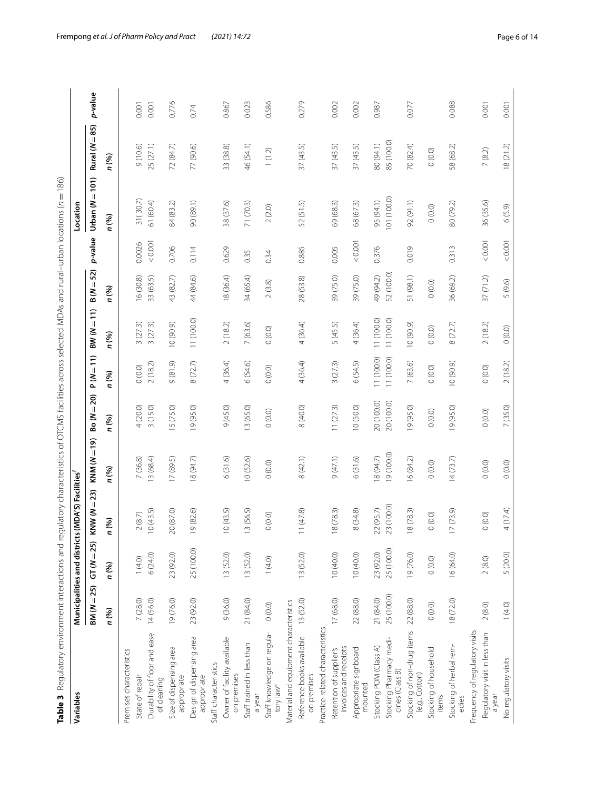<span id="page-5-0"></span>

| X<br>έ<br>j                                        |
|----------------------------------------------------|
|                                                    |
|                                                    |
| II                                                 |
|                                                    |
|                                                    |
|                                                    |
| j                                                  |
| Ï                                                  |
|                                                    |
| $\overline{a}$                                     |
| j                                                  |
| ļ                                                  |
|                                                    |
| Š                                                  |
| Ó<br>֖֖֖֖֪ׅׅ֧֦֧ׅ֚֚֚֚֚֚֚֚֚֚֚֚֚֚֚֚֚֚֬֝֝֝֓֡֡֝֬֝֬֓֞֓֡֬ |
| $\overline{\phantom{a}}$<br>$\overline{ }$         |
| i                                                  |
| ׇ֚֬֕                                               |
| Ī                                                  |
| 5                                                  |
| lEJI.<br>$\overline{\phantom{a}}$                  |
| ١                                                  |
|                                                    |
| $\overline{2}$                                     |
| j                                                  |
| 5<br>$\mathfrak{g}$                                |
| j                                                  |
| ₫                                                  |
| J                                                  |
| $\mathbf{I}$                                       |
| $\ddot{\phantom{0}}$                               |
|                                                    |
| i<br>5                                             |
| ,<br>ŧ                                             |
| j                                                  |
| J<br>Ò<br>1                                        |
| ¢<br>֚֬<br>1                                       |
| ֖֖֖֖֖֖ׅ֪ׅ֪ׅ֪ׅ֖֖֧֚֚֚֚֚֚֚֚֚֚֚֚֚֚֚֚֚֚֡֬֝֝֝֝֝          |
| i<br>l                                             |
| ¢<br>j<br>١                                        |
| i<br>֖֖֢ׅ֖֖ׅׅ֧ׅ֖֚֚֚֚֚֚֚֚֚֚֚֚֚֚֚֚֚֚֚֚֚֚֚֚֚֚֡֝֝֬     |
| $-20$                                              |
| ì<br>ś                                             |
|                                                    |
| í<br>j<br>í                                        |
|                                                    |
|                                                    |
|                                                    |
|                                                    |
| ñ<br>5                                             |
| J                                                  |
| ë                                                  |
|                                                    |
| ۱                                                  |
|                                                    |
| )                                                  |
|                                                    |
|                                                    |
|                                                    |
| $\overline{ }$                                     |
|                                                    |
| rc<br>C<br>ĵ                                       |
| $\overline{a}$<br>ŧ<br>١                           |
|                                                    |
|                                                    |
|                                                    |
| ř<br>Ter<br>)<br>)<br>)<br>i                       |
| 5                                                  |
| i<br>l                                             |
|                                                    |
| ī<br>ï                                             |
| j                                                  |
| j                                                  |
| Ò<br>١                                             |
| 5                                                  |
|                                                    |
| $\frac{1}{1}$<br>ׇ֚֬֕                              |
| Ì<br>ׇ֚֬֡<br>١                                     |
| j<br>d<br>j                                        |
|                                                    |
|                                                    |
| i                                                  |
| i                                                  |
|                                                    |
| <b>C</b> 2012.                                     |
| I<br>j                                             |
|                                                    |
| 5                                                  |
| ٦<br>5                                             |
| j                                                  |
| ì                                                  |
|                                                    |
| intaracti                                          |
|                                                    |
| $\overline{a}$                                     |
|                                                    |
| hen<br>Ĕ<br>l                                      |
| l                                                  |
|                                                    |
|                                                    |
|                                                    |
|                                                    |
|                                                    |
|                                                    |
|                                                    |
|                                                    |
|                                                    |
|                                                    |
|                                                    |
|                                                    |
|                                                    |
|                                                    |
|                                                    |
|                                                    |
|                                                    |
|                                                    |
|                                                    |
| I                                                  |

| Variables                                           |               | Municipalities and districts | <b>MDA'S)</b> Facilities |              |             |             |              |             |         | Location        |                    |         |
|-----------------------------------------------------|---------------|------------------------------|--------------------------|--------------|-------------|-------------|--------------|-------------|---------|-----------------|--------------------|---------|
|                                                     | $BM (N = 25)$ | $GT (N = 25)$                | $NW (N = 23)$<br>¥       | KNM $(M=19)$ | Bo $(N=20)$ | $P(M = 11)$ | $BW(W = 11)$ | $B(N = 52)$ | p-value | Urban $(N=101)$ | Rural ( $N = 85$ ) | p-value |
|                                                     | n (%)         | n (%)                        | (96)<br>Z,               | n (%)        | n (%)       | n (%)       | n (%)        | n (%)       |         | n (%)           | n (%)              |         |
| Premises characteristics                            |               |                              |                          |              |             |             |              |             |         |                 |                    |         |
| State of repair                                     | 7(28.0)       | (4.0)                        | $2$ $(8.7)$              | 7(36.8)      | 4(20.0)     | (0.0)0      | 3(27.3)      | 16 (30.8)   | 0.0026  | 31(30.7)        | 9(10.6)            | 0.001   |
| Durability of floor and ease<br>of cleaning         | 14 (56.0)     | 6(24.0)                      | 10(43.5)                 | 13(68.4)     | 3(15.0)     | 2(18.2)     | 3(27.3)      | 33 (63.5)   | 0.001   | 61 (60.4)       | 25 (27.1)          | 0.001   |
| Size of dispensing area<br>appropriate              | 19 (76.0)     | 23 (92.0)                    | 20 (87.0)                | 17(89.5)     | 15 (75.0)   | (6.18)      | $(6.06)$ 01  | 43 (82.7)   | 0.706   | 84 (83.2)       | 72(84.7)           | 0.776   |
| Design of dispensing area<br>appropriate            | 23 (92.0)     | 25 (100.0)                   | 19(82.6)                 | 18 (94.7)    | 19 (95.0)   | 8(72.7)     | 11 (100.0)   | 44 (84.6)   | 0.114   | 90 (89.1)       | 77 (90.6)          | 0.74    |
| Staff characteristics                               |               |                              |                          |              |             |             |              |             |         |                 |                    |         |
| Owner of facility available<br>on premises          | 9 (36.0)      | 13 (52.0)                    | 10(43.5)                 | 6(31.6)      | 9(45.0)     | 4 (36.4)    | 2(18.2)      | 18 (36.4)   | 0.629   | 38 (37.6)       | 33 (38.8)          | 0.867   |
| Staff trained in less than<br>a year                | 21 (84.0)     | 13 (52.0)                    | (56.5)<br>$\frac{1}{2}$  | 10(52.6)     | 13 (65.0)   | 6(54.6)     | 7(63.6)      | 34 (65.4)   | 0.35    | 71 (70.3)       | 46 (54.1)          | 0.023   |
| Staff knowledge on regula-<br>tory law <sup>a</sup> | 0(0.0)        | (4.0)                        | $(0.0)$                  | (0.0)        | (0.0)       | (0.0)       | (0.0)        | 2(3.8)      | 0.34    | 2(2.0)          | $1(1.2)$           | 0.586   |
| Material and equipment characteristics              |               |                              |                          |              |             |             |              |             |         |                 |                    |         |
| Reference books available<br>on premises            | 13 (52.0)     | 13 (52.0)                    | (47.8)<br>Ξ              | 8(42.1)      | 8 (40.0)    | 4(36.4)     | 4(36.4)      | 28 (53.8)   | 0.885   | 52 (51.5)       | 37(43.5)           | 0.279   |
| Practice-related characteristics                    |               |                              |                          |              |             |             |              |             |         |                 |                    |         |
| invoices and receipts<br>Retention of supplier's    | 17 (68.0)     | 10 (40.0)                    | 18(78.3)                 | 9(47.1)      | 11(273)     | 3(27.3)     | 5 (45.5)     | 39 (75.0)   | 0.005   | 69 (68.3)       | 37(43.5)           | 0.002   |
| Appropriate signboard<br>mounted                    | 22 (88.0)     | 10 (40.0)                    | 8(34.8)                  | 6(31.6)      | 10(50.0)    | 6(54.5)     | 4(36.4)      | 39 (75.0)   | 10000   | 68 (67.3)       | 37 (43.5)          | 0.002   |
| Stocking POM (Class A)                              | 21 (84.0)     | 23 (92.0)                    | 22(95.7)                 | 18 (94.7)    | 20 (100.0)  | 11 (100.0)  | 11 (100.0)   | 49 (94.2)   | 0.376   | 95 (94.1)       | 80 (94.1)          | 0.987   |
| Stocking Pharmacy medi-<br>$cines$ ( $Class B$ )    | 25 (100.0)    | 25 (100.0)                   | 23 (100.0)               | 19 (100.0)   | 20 (100.0)  | 11 (100.0)  | 11 (100.0)   | 52 (100.0)  |         | 101 (100.0)     | 85 (100.0)         |         |
| Stocking of non-drug items<br>(e.g., Cotton)        | 22 (88.0)     | 19 (76.0)                    | (78.3)<br>$\frac{8}{10}$ | 16(84.2)     | 19 (95.0)   | 7 (63.6)    | 10(90.9)     | 51 (98.1)   | 0.019   | 92 (91.1)       | 70 (82.4)          | 0.077   |
| Stocking of household<br>items                      | (0.0)0        | (0.0)0                       | (0.0)                    | 0(0.0)       | (0.0)0      | 0(0.0)      | (0.0)0       | 0(0.0)      |         | (0.0)0          | (0.0)0             |         |
| Stocking of herbal rem-<br>edies                    | 18 (72.0)     | 16(64.0)                     | (73.9)<br>$\overline{a}$ | 14(73.7)     | 19 (95.0)   | 10 (90.9)   | 8(72.7)      | 36 (69.2)   | 0.313   | 80 (79.2)       | 58 (68.2)          | 0.088   |
| Frequency of regulatory visits                      |               |                              |                          |              |             |             |              |             |         |                 |                    |         |
| Regulatory visit in less than<br>a year             | 2(8.0)        | 2(8.0)                       | $(0.0)$                  | (0.0)        | 0(0.0)      | (0.0)       | 2(18.2)      | 37(71.2)    | 0.001   | 36 (35.6)       | $7(8.2)$           | 0.001   |
| No regulatory visits                                | 1(4.0)        | 5 (20.0)                     | 4 (17.4)                 | (0.0)0       | 7 (35.0)    | 2(18.2)     | (0.0)        | 5 (9.6)     | 0.001   | 6(5.9)          | 18(21.2)           | 0.001   |
|                                                     |               |                              |                          |              |             |             |              |             |         |                 |                    |         |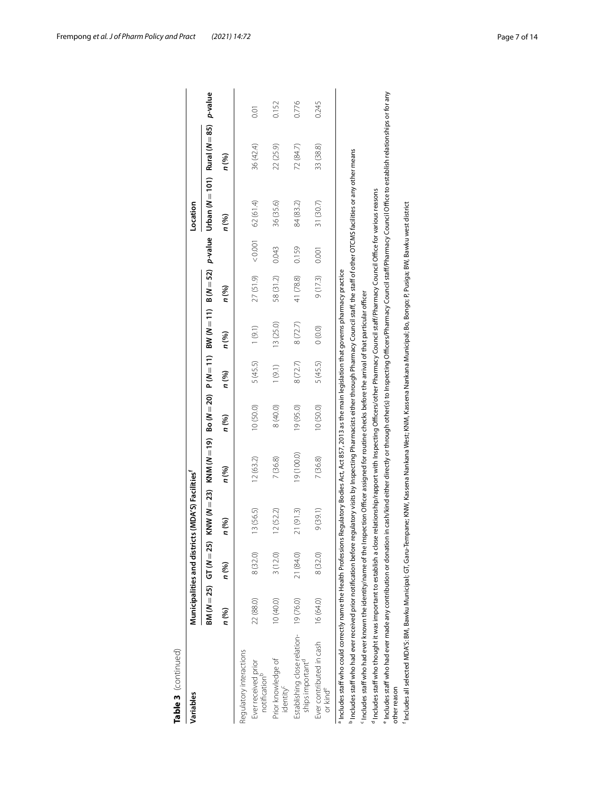| Table 3 (continued)                                                                                                                                                                                                                                                                                                                                                 |                             |           |                                                 |                                                                                                                        |           |          |                       |           |         |                                                            |           |         |
|---------------------------------------------------------------------------------------------------------------------------------------------------------------------------------------------------------------------------------------------------------------------------------------------------------------------------------------------------------------------|-----------------------------|-----------|-------------------------------------------------|------------------------------------------------------------------------------------------------------------------------|-----------|----------|-----------------------|-----------|---------|------------------------------------------------------------|-----------|---------|
| Variables                                                                                                                                                                                                                                                                                                                                                           |                             |           | Municipalities and districts (MDA'S) Facilities |                                                                                                                        |           |          |                       |           |         | Location                                                   |           |         |
|                                                                                                                                                                                                                                                                                                                                                                     | $BN (N = 25)$ GT $(N = 25)$ |           | KNW ( $N = 23$ )                                | KNM $(M=19)$ Bo $(M=20)$                                                                                               |           |          | $P(N=11)$ BW $(N=11)$ |           |         | $B(N = 52)$ p-value Urban ( $N = 101$ ) Rural ( $N = 85$ ) |           | p-value |
|                                                                                                                                                                                                                                                                                                                                                                     | n (%)                       | n (%)     | n (%)                                           | n (%)                                                                                                                  | n (%)     | n (%)    | n (%)                 | n (%)     |         | n (%)                                                      | n (%)     |         |
| Regulatory interactions                                                                                                                                                                                                                                                                                                                                             |                             |           |                                                 |                                                                                                                        |           |          |                       |           |         |                                                            |           |         |
| Ever received prior<br>notification <sup>p</sup>                                                                                                                                                                                                                                                                                                                    | 22 (88.0)                   | 8 (32.0)  | 13 (56.5)                                       | 12(63.2)                                                                                                               | 10(50.0)  | 5 (45.5) | 1(9.1)                | 27(51.9)  | < 0.001 | 62 (61.4)                                                  | 36 (42.4) | 0.01    |
| Prior knowledge of<br>identity <sup>c</sup>                                                                                                                                                                                                                                                                                                                         | 10 (40.0)                   | 3(12.0)   | 12(52.2)                                        | 7 (36.8)                                                                                                               | 8 (40.0)  | (9.1)    | 13 (25.0)             | 58 (31.2) | 0.043   | 36 (35.6)                                                  | 22 (25.9) | 0.152   |
| Establishing close relation- 19 (76.0)<br>ships important <sup>d</sup>                                                                                                                                                                                                                                                                                              |                             | 21 (84.0) | 21 (91.3)                                       | 19(100.0)                                                                                                              | 19 (95.0) | 8(72.7)  | 8 (72.7)              | 41 (78.8) | 0.159   | 84 (83.2)                                                  | 72 (84.7) | 0.776   |
| Ever contributed in cash<br>or kind <sup>e</sup>                                                                                                                                                                                                                                                                                                                    | 16(64.0)                    | 8 (32.0)  | 9(39.1)                                         | 7 (36.8)                                                                                                               | 10(50.0)  | 5 (45.5) | (0.0)0                | 9(17.3)   | 0.001   | 31(30.7)                                                   | 33 (38.8) | 0.245   |
| Includes staff who could correctly name the Health Professions Regulatory Bodies Act, Act 857, 2013 as the main legislation that governs pharmacy practice                                                                                                                                                                                                          |                             |           |                                                 |                                                                                                                        |           |          |                       |           |         |                                                            |           |         |
| Includes staff who had ever received prior notification before regulatory visits by Inspecting Pharmacists either through Pharmacy Council staff, the staff of other OTCMS facilities or any other means<br>Includes staff who had ever known the identity/name of the Inspection Officer assigned for routine checks before the arrival of that particular officer |                             |           |                                                 |                                                                                                                        |           |          |                       |           |         |                                                            |           |         |
| <sup>d</sup> Includes staff who thought it was important to establish a close                                                                                                                                                                                                                                                                                       |                             |           |                                                 | relationship/rapport with Inspecting Officers/other Pharmacy Council staff/Pharmacy Council Office for various reasons |           |          |                       |           |         |                                                            |           |         |
| <sup>8</sup> Includes staff who had ever made any contribution or donation in cash/kind either directly or through other(s) to Inspecting Officers/Pharmacy Council staff/Pharmacy Council Office to establish relationships or for any<br>other reason                                                                                                             |                             |           |                                                 |                                                                                                                        |           |          |                       |           |         |                                                            |           |         |
| Includes all selected MDA'S: BM, Bawku Municipal; GT, Garu-Tempane; KNW, Kassena Nankana West; KNM, Kassena Nankana Municipal; Bo, Bongo; P, Pusiqa; BW, Bawku west district                                                                                                                                                                                        |                             |           |                                                 |                                                                                                                        |           |          |                       |           |         |                                                            |           |         |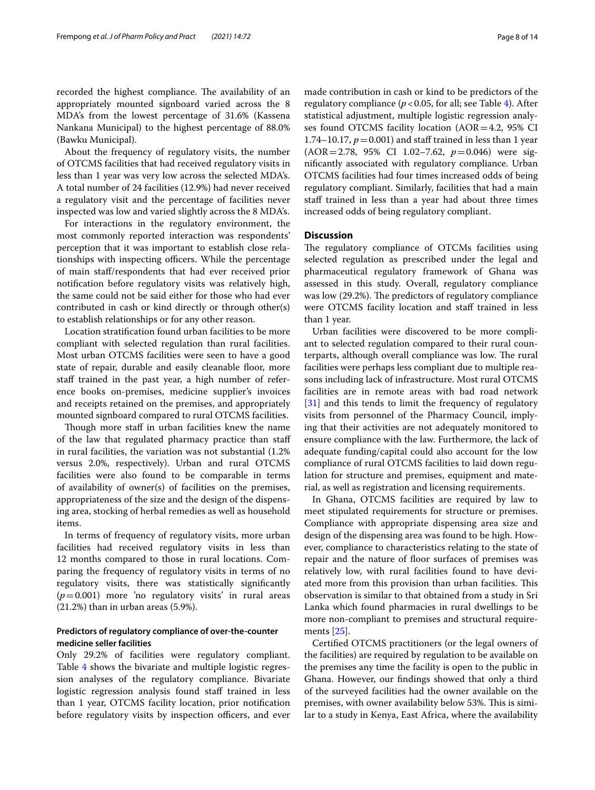About the frequency of regulatory visits, the number of OTCMS facilities that had received regulatory visits in less than 1 year was very low across the selected MDA's. A total number of 24 facilities (12.9%) had never received a regulatory visit and the percentage of facilities never inspected was low and varied slightly across the 8 MDA's.

For interactions in the regulatory environment, the most commonly reported interaction was respondents' perception that it was important to establish close relationships with inspecting officers. While the percentage of main staf/respondents that had ever received prior notifcation before regulatory visits was relatively high, the same could not be said either for those who had ever contributed in cash or kind directly or through other(s) to establish relationships or for any other reason.

Location stratifcation found urban facilities to be more compliant with selected regulation than rural facilities. Most urban OTCMS facilities were seen to have a good state of repair, durable and easily cleanable floor, more staff trained in the past year, a high number of reference books on-premises, medicine supplier's invoices and receipts retained on the premises, and appropriately mounted signboard compared to rural OTCMS facilities.

Though more staff in urban facilities knew the name of the law that regulated pharmacy practice than staf in rural facilities, the variation was not substantial (1.2% versus 2.0%, respectively). Urban and rural OTCMS facilities were also found to be comparable in terms of availability of owner(s) of facilities on the premises, appropriateness of the size and the design of the dispensing area, stocking of herbal remedies as well as household items.

In terms of frequency of regulatory visits, more urban facilities had received regulatory visits in less than 12 months compared to those in rural locations. Comparing the frequency of regulatory visits in terms of no regulatory visits, there was statistically signifcantly (*p*=0.001) more 'no regulatory visits' in rural areas (21.2%) than in urban areas (5.9%).

## **Predictors of regulatory compliance of over‑the‑counter medicine seller facilities**

Only 29.2% of facilities were regulatory compliant. Table [4](#page-8-0) shows the bivariate and multiple logistic regression analyses of the regulatory compliance. Bivariate logistic regression analysis found staff trained in less than 1 year, OTCMS facility location, prior notifcation before regulatory visits by inspection officers, and ever made contribution in cash or kind to be predictors of the regulatory compliance ( $p < 0.05$ , for all; see Table [4](#page-8-0)). After statistical adjustment, multiple logistic regression analyses found OTCMS facility location (AOR=4.2, 95% CI 1.74–10.17,  $p = 0.001$ ) and staff trained in less than 1 year (AOR=2.78, 95% CI 1.02–7.62, *p*=0.046) were signifcantly associated with regulatory compliance. Urban OTCMS facilities had four times increased odds of being regulatory compliant. Similarly, facilities that had a main staff trained in less than a year had about three times increased odds of being regulatory compliant.

## **Discussion**

The regulatory compliance of OTCMs facilities using selected regulation as prescribed under the legal and pharmaceutical regulatory framework of Ghana was assessed in this study. Overall, regulatory compliance was low (29.2%). The predictors of regulatory compliance were OTCMS facility location and staff trained in less than 1 year.

Urban facilities were discovered to be more compliant to selected regulation compared to their rural counterparts, although overall compliance was low. The rural facilities were perhaps less compliant due to multiple reasons including lack of infrastructure. Most rural OTCMS facilities are in remote areas with bad road network [[31\]](#page-13-18) and this tends to limit the frequency of regulatory visits from personnel of the Pharmacy Council, implying that their activities are not adequately monitored to ensure compliance with the law. Furthermore, the lack of adequate funding/capital could also account for the low compliance of rural OTCMS facilities to laid down regulation for structure and premises, equipment and material, as well as registration and licensing requirements.

In Ghana, OTCMS facilities are required by law to meet stipulated requirements for structure or premises. Compliance with appropriate dispensing area size and design of the dispensing area was found to be high. However, compliance to characteristics relating to the state of repair and the nature of floor surfaces of premises was relatively low, with rural facilities found to have deviated more from this provision than urban facilities. This observation is similar to that obtained from a study in Sri Lanka which found pharmacies in rural dwellings to be more non-compliant to premises and structural requirements [\[25](#page-13-12)].

Certifed OTCMS practitioners (or the legal owners of the facilities) are required by regulation to be available on the premises any time the facility is open to the public in Ghana. However, our fndings showed that only a third of the surveyed facilities had the owner available on the premises, with owner availability below 53%. This is similar to a study in Kenya, East Africa, where the availability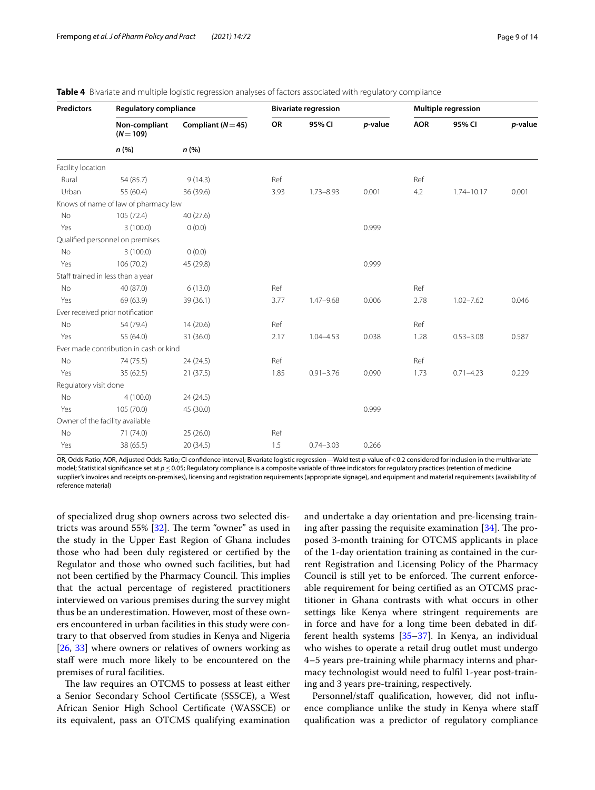| <b>Predictors</b>     | <b>Regulatory compliance</b>           |                      |      | <b>Bivariate regression</b> |         |            | Multiple regression |         |
|-----------------------|----------------------------------------|----------------------|------|-----------------------------|---------|------------|---------------------|---------|
|                       | Non-compliant<br>$(N = 109)$           | Compliant ( $N=45$ ) | OR   | 95% CI                      | p-value | <b>AOR</b> | 95% CI              | p-value |
|                       | n(%)                                   | n (%)                |      |                             |         |            |                     |         |
| Facility location     |                                        |                      |      |                             |         |            |                     |         |
| Rural                 | 54 (85.7)                              | 9(14.3)              | Ref  |                             |         | Ref        |                     |         |
| Urban                 | 55 (60.4)                              | 36 (39.6)            | 3.93 | $1.73 - 8.93$               | 0.001   | 4.2        | $1.74 - 10.17$      | 0.001   |
|                       | Knows of name of law of pharmacy law   |                      |      |                             |         |            |                     |         |
| No                    | 105 (72.4)                             | 40(27.6)             |      |                             |         |            |                     |         |
| Yes                   | 3(100.0)                               | 0(0.0)               |      |                             | 0.999   |            |                     |         |
|                       | Qualified personnel on premises        |                      |      |                             |         |            |                     |         |
| No                    | 3(100.0)                               | 0(0.0)               |      |                             |         |            |                     |         |
| Yes                   | 106 (70.2)                             | 45 (29.8)            |      |                             | 0.999   |            |                     |         |
|                       | Staff trained in less than a year      |                      |      |                             |         |            |                     |         |
| <b>No</b>             | 40 (87.0)                              | 6(13.0)              | Ref  |                             |         | Ref        |                     |         |
| Yes                   | 69 (63.9)                              | 39 (36.1)            | 3.77 | $1.47 - 9.68$               | 0.006   | 2.78       | $1.02 - 7.62$       | 0.046   |
|                       | Ever received prior notification       |                      |      |                             |         |            |                     |         |
| No                    | 54 (79.4)                              | 14(20.6)             | Ref  |                             |         | Ref        |                     |         |
| Yes                   | 55 (64.0)                              | 31 (36.0)            | 2.17 | $1.04 - 4.53$               | 0.038   | 1.28       | $0.53 - 3.08$       | 0.587   |
|                       | Ever made contribution in cash or kind |                      |      |                             |         |            |                     |         |
| No                    | 74 (75.5)                              | 24(24.5)             | Ref  |                             |         | Ref        |                     |         |
| Yes                   | 35 (62.5)                              | 21(37.5)             | 1.85 | $0.91 - 3.76$               | 0.090   | 1.73       | $0.71 - 4.23$       | 0.229   |
| Regulatory visit done |                                        |                      |      |                             |         |            |                     |         |
| <b>No</b>             | 4(100.0)                               | 24(24.5)             |      |                             |         |            |                     |         |
| Yes                   | 105 (70.0)                             | 45 (30.0)            |      |                             | 0.999   |            |                     |         |
|                       | Owner of the facility available        |                      |      |                             |         |            |                     |         |
| No                    | 71 (74.0)                              | 25(26.0)             | Ref  |                             |         |            |                     |         |
| Yes                   | 38 (65.5)                              | 20 (34.5)            | 1.5  | $0.74 - 3.03$               | 0.266   |            |                     |         |

<span id="page-8-0"></span>**Table 4** Bivariate and multiple logistic regression analyses of factors associated with regulatory compliance

OR, Odds Ratio; AOR, Adjusted Odds Ratio; CI confdence interval; Bivariate logistic regression—Wald test *p*-value of<0.2 considered for inclusion in the multivariate model; Statistical significance set at *p* ≤ 0.05; Regulatory compliance is a composite variable of three indicators for regulatory practices (retention of medicine supplier's invoices and receipts on-premises), licensing and registration requirements (appropriate signage), and equipment and material requirements (availability of reference material)

of specialized drug shop owners across two selected districts was around 55%  $[32]$  $[32]$ . The term "owner" as used in the study in the Upper East Region of Ghana includes those who had been duly registered or certifed by the Regulator and those who owned such facilities, but had not been certified by the Pharmacy Council. This implies that the actual percentage of registered practitioners interviewed on various premises during the survey might thus be an underestimation. However, most of these owners encountered in urban facilities in this study were contrary to that observed from studies in Kenya and Nigeria [[26,](#page-13-13) [33\]](#page-13-20) where owners or relatives of owners working as staf were much more likely to be encountered on the premises of rural facilities.

The law requires an OTCMS to possess at least either a Senior Secondary School Certifcate (SSSCE), a West African Senior High School Certifcate (WASSCE) or its equivalent, pass an OTCMS qualifying examination and undertake a day orientation and pre-licensing training after passing the requisite examination  $[34]$  $[34]$ . The proposed 3-month training for OTCMS applicants in place of the 1-day orientation training as contained in the current Registration and Licensing Policy of the Pharmacy Council is still yet to be enforced. The current enforceable requirement for being certifed as an OTCMS practitioner in Ghana contrasts with what occurs in other settings like Kenya where stringent requirements are in force and have for a long time been debated in different health systems [[35](#page-13-22)[–37](#page-13-23)]. In Kenya, an individual who wishes to operate a retail drug outlet must undergo 4–5 years pre-training while pharmacy interns and pharmacy technologist would need to fulfl 1-year post-training and 3 years pre-training, respectively.

Personnel/staff qualification, however, did not influence compliance unlike the study in Kenya where staf qualifcation was a predictor of regulatory compliance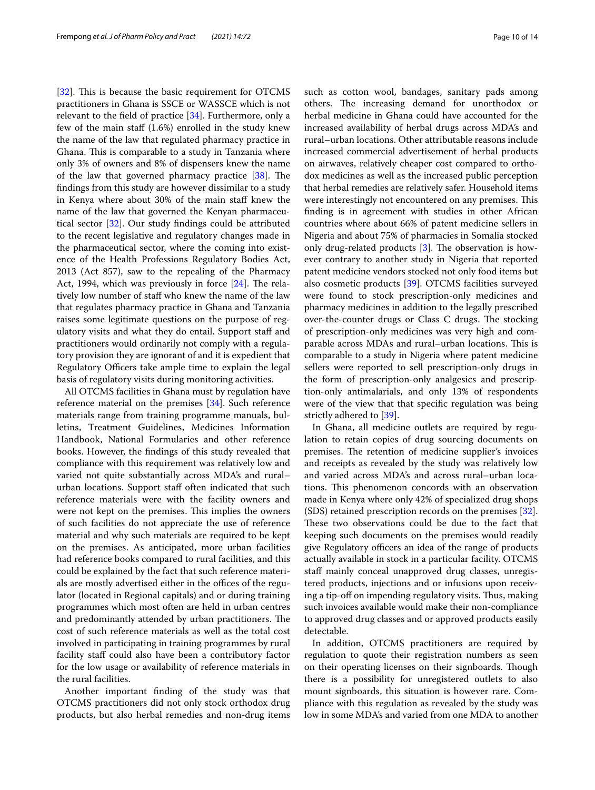[[32\]](#page-13-19). This is because the basic requirement for OTCMS practitioners in Ghana is SSCE or WASSCE which is not relevant to the feld of practice [[34\]](#page-13-21). Furthermore, only a few of the main staf (1.6%) enrolled in the study knew the name of the law that regulated pharmacy practice in Ghana. This is comparable to a study in Tanzania where only 3% of owners and 8% of dispensers knew the name of the law that governed pharmacy practice  $[38]$  $[38]$ . The fndings from this study are however dissimilar to a study in Kenya where about 30% of the main staff knew the name of the law that governed the Kenyan pharmaceutical sector [\[32](#page-13-19)]. Our study fndings could be attributed to the recent legislative and regulatory changes made in the pharmaceutical sector, where the coming into existence of the Health Professions Regulatory Bodies Act, 2013 (Act 857), saw to the repealing of the Pharmacy Act, 1994, which was previously in force  $[24]$  $[24]$ . The relatively low number of staff who knew the name of the law that regulates pharmacy practice in Ghana and Tanzania raises some legitimate questions on the purpose of regulatory visits and what they do entail. Support staff and practitioners would ordinarily not comply with a regulatory provision they are ignorant of and it is expedient that Regulatory Officers take ample time to explain the legal basis of regulatory visits during monitoring activities.

All OTCMS facilities in Ghana must by regulation have reference material on the premises [[34\]](#page-13-21). Such reference materials range from training programme manuals, bulletins, Treatment Guidelines, Medicines Information Handbook, National Formularies and other reference books. However, the fndings of this study revealed that compliance with this requirement was relatively low and varied not quite substantially across MDA's and rural– urban locations. Support staf often indicated that such reference materials were with the facility owners and were not kept on the premises. This implies the owners of such facilities do not appreciate the use of reference material and why such materials are required to be kept on the premises. As anticipated, more urban facilities had reference books compared to rural facilities, and this could be explained by the fact that such reference materials are mostly advertised either in the offices of the regulator (located in Regional capitals) and or during training programmes which most often are held in urban centres and predominantly attended by urban practitioners. The cost of such reference materials as well as the total cost involved in participating in training programmes by rural facility staff could also have been a contributory factor for the low usage or availability of reference materials in the rural facilities.

Another important fnding of the study was that OTCMS practitioners did not only stock orthodox drug products, but also herbal remedies and non-drug items such as cotton wool, bandages, sanitary pads among others. The increasing demand for unorthodox or herbal medicine in Ghana could have accounted for the increased availability of herbal drugs across MDA's and rural–urban locations. Other attributable reasons include increased commercial advertisement of herbal products on airwaves, relatively cheaper cost compared to orthodox medicines as well as the increased public perception that herbal remedies are relatively safer. Household items were interestingly not encountered on any premises. This fnding is in agreement with studies in other African countries where about 66% of patent medicine sellers in Nigeria and about 75% of pharmacies in Somalia stocked only drug-related products  $[3]$  $[3]$ . The observation is however contrary to another study in Nigeria that reported patent medicine vendors stocked not only food items but also cosmetic products [\[39](#page-13-25)]. OTCMS facilities surveyed were found to stock prescription-only medicines and pharmacy medicines in addition to the legally prescribed over-the-counter drugs or Class  $C$  drugs. The stocking of prescription-only medicines was very high and comparable across MDAs and rural–urban locations. This is comparable to a study in Nigeria where patent medicine sellers were reported to sell prescription-only drugs in the form of prescription-only analgesics and prescription-only antimalarials, and only 13% of respondents were of the view that that specifc regulation was being strictly adhered to [[39](#page-13-25)].

In Ghana, all medicine outlets are required by regulation to retain copies of drug sourcing documents on premises. The retention of medicine supplier's invoices and receipts as revealed by the study was relatively low and varied across MDA's and across rural–urban locations. This phenomenon concords with an observation made in Kenya where only 42% of specialized drug shops (SDS) retained prescription records on the premises [\[32](#page-13-19)]. These two observations could be due to the fact that keeping such documents on the premises would readily give Regulatory officers an idea of the range of products actually available in stock in a particular facility. OTCMS staff mainly conceal unapproved drug classes, unregistered products, injections and or infusions upon receiving a tip-off on impending regulatory visits. Thus, making such invoices available would make their non-compliance to approved drug classes and or approved products easily detectable.

In addition, OTCMS practitioners are required by regulation to quote their registration numbers as seen on their operating licenses on their signboards. Though there is a possibility for unregistered outlets to also mount signboards, this situation is however rare. Compliance with this regulation as revealed by the study was low in some MDA's and varied from one MDA to another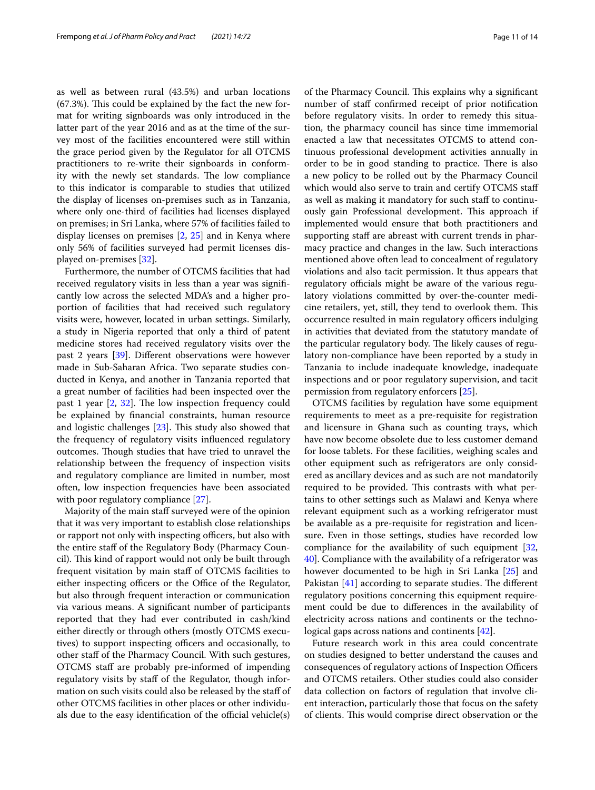as well as between rural (43.5%) and urban locations  $(67.3\%)$ . This could be explained by the fact the new format for writing signboards was only introduced in the latter part of the year 2016 and as at the time of the survey most of the facilities encountered were still within the grace period given by the Regulator for all OTCMS practitioners to re-write their signboards in conformity with the newly set standards. The low compliance to this indicator is comparable to studies that utilized the display of licenses on-premises such as in Tanzania, where only one-third of facilities had licenses displayed on premises; in Sri Lanka, where 57% of facilities failed to display licenses on premises [\[2](#page-12-5), [25\]](#page-13-12) and in Kenya where only 56% of facilities surveyed had permit licenses displayed on-premises [[32\]](#page-13-19).

Furthermore, the number of OTCMS facilities that had received regulatory visits in less than a year was signifcantly low across the selected MDA's and a higher proportion of facilities that had received such regulatory visits were, however, located in urban settings. Similarly, a study in Nigeria reported that only a third of patent medicine stores had received regulatory visits over the past 2 years [\[39](#page-13-25)]. Diferent observations were however made in Sub-Saharan Africa. Two separate studies conducted in Kenya, and another in Tanzania reported that a great number of facilities had been inspected over the past 1 year  $[2, 32]$  $[2, 32]$  $[2, 32]$  $[2, 32]$ . The low inspection frequency could be explained by fnancial constraints, human resource and logistic challenges  $[23]$  $[23]$ . This study also showed that the frequency of regulatory visits infuenced regulatory outcomes. Though studies that have tried to unravel the relationship between the frequency of inspection visits and regulatory compliance are limited in number, most often, low inspection frequencies have been associated with poor regulatory compliance [\[27\]](#page-13-14).

Majority of the main staff surveyed were of the opinion that it was very important to establish close relationships or rapport not only with inspecting officers, but also with the entire staff of the Regulatory Body (Pharmacy Council). This kind of rapport would not only be built through frequent visitation by main staf of OTCMS facilities to either inspecting officers or the Office of the Regulator, but also through frequent interaction or communication via various means. A signifcant number of participants reported that they had ever contributed in cash/kind either directly or through others (mostly OTCMS executives) to support inspecting officers and occasionally, to other staf of the Pharmacy Council. With such gestures, OTCMS staf are probably pre-informed of impending regulatory visits by staff of the Regulator, though information on such visits could also be released by the staf of other OTCMS facilities in other places or other individuals due to the easy identification of the official vehicle $(s)$ 

of the Pharmacy Council. This explains why a significant number of staf confrmed receipt of prior notifcation before regulatory visits. In order to remedy this situation, the pharmacy council has since time immemorial enacted a law that necessitates OTCMS to attend continuous professional development activities annually in order to be in good standing to practice. There is also a new policy to be rolled out by the Pharmacy Council which would also serve to train and certify OTCMS staff as well as making it mandatory for such staff to continuously gain Professional development. This approach if implemented would ensure that both practitioners and supporting staff are abreast with current trends in pharmacy practice and changes in the law. Such interactions mentioned above often lead to concealment of regulatory violations and also tacit permission. It thus appears that regulatory officials might be aware of the various regulatory violations committed by over-the-counter medicine retailers, yet, still, they tend to overlook them. This occurrence resulted in main regulatory officers indulging in activities that deviated from the statutory mandate of the particular regulatory body. The likely causes of regulatory non-compliance have been reported by a study in Tanzania to include inadequate knowledge, inadequate

permission from regulatory enforcers [[25\]](#page-13-12). OTCMS facilities by regulation have some equipment requirements to meet as a pre-requisite for registration and licensure in Ghana such as counting trays, which have now become obsolete due to less customer demand for loose tablets. For these facilities, weighing scales and other equipment such as refrigerators are only considered as ancillary devices and as such are not mandatorily required to be provided. This contrasts with what pertains to other settings such as Malawi and Kenya where relevant equipment such as a working refrigerator must be available as a pre-requisite for registration and licensure. Even in those settings, studies have recorded low compliance for the availability of such equipment [[32](#page-13-19), [40\]](#page-13-27). Compliance with the availability of a refrigerator was however documented to be high in Sri Lanka [\[25](#page-13-12)] and Pakistan  $[41]$  $[41]$  according to separate studies. The different regulatory positions concerning this equipment requirement could be due to diferences in the availability of electricity across nations and continents or the technological gaps across nations and continents [[42\]](#page-13-29).

inspections and or poor regulatory supervision, and tacit

Future research work in this area could concentrate on studies designed to better understand the causes and consequences of regulatory actions of Inspection Officers and OTCMS retailers. Other studies could also consider data collection on factors of regulation that involve client interaction, particularly those that focus on the safety of clients. This would comprise direct observation or the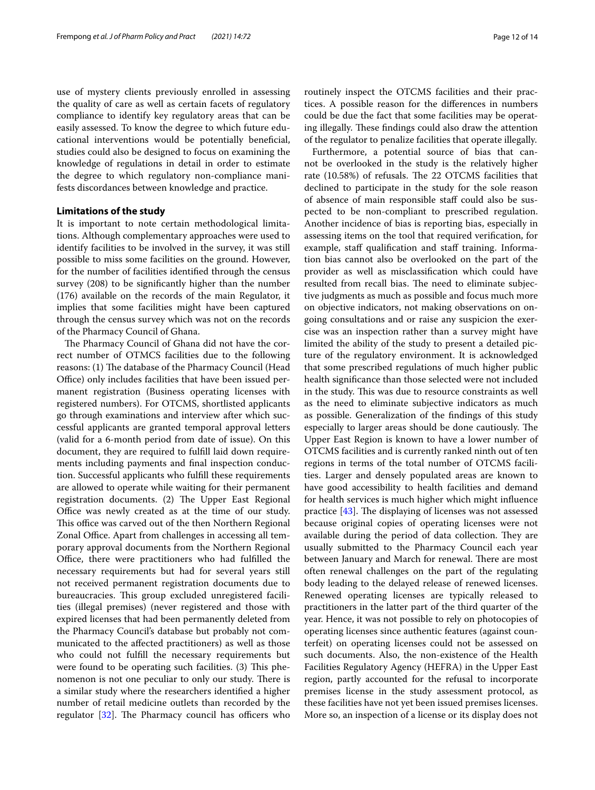use of mystery clients previously enrolled in assessing the quality of care as well as certain facets of regulatory compliance to identify key regulatory areas that can be easily assessed. To know the degree to which future educational interventions would be potentially benefcial, studies could also be designed to focus on examining the knowledge of regulations in detail in order to estimate the degree to which regulatory non-compliance manifests discordances between knowledge and practice.

## **Limitations of the study**

It is important to note certain methodological limitations. Although complementary approaches were used to identify facilities to be involved in the survey, it was still possible to miss some facilities on the ground. However, for the number of facilities identifed through the census survey (208) to be signifcantly higher than the number (176) available on the records of the main Regulator, it implies that some facilities might have been captured through the census survey which was not on the records of the Pharmacy Council of Ghana.

The Pharmacy Council of Ghana did not have the correct number of OTMCS facilities due to the following reasons: (1) The database of the Pharmacy Council (Head Office) only includes facilities that have been issued permanent registration (Business operating licenses with registered numbers). For OTCMS, shortlisted applicants go through examinations and interview after which successful applicants are granted temporal approval letters (valid for a 6-month period from date of issue). On this document, they are required to fulfll laid down requirements including payments and fnal inspection conduction. Successful applicants who fulfll these requirements are allowed to operate while waiting for their permanent registration documents. (2) The Upper East Regional Office was newly created as at the time of our study. This office was carved out of the then Northern Regional Zonal Office. Apart from challenges in accessing all temporary approval documents from the Northern Regional Office, there were practitioners who had fulfilled the necessary requirements but had for several years still not received permanent registration documents due to bureaucracies. This group excluded unregistered facilities (illegal premises) (never registered and those with expired licenses that had been permanently deleted from the Pharmacy Council's database but probably not communicated to the afected practitioners) as well as those who could not fulfll the necessary requirements but were found to be operating such facilities. (3) This phenomenon is not one peculiar to only our study. There is a similar study where the researchers identifed a higher number of retail medicine outlets than recorded by the regulator  $[32]$  $[32]$ . The Pharmacy council has officers who routinely inspect the OTCMS facilities and their practices. A possible reason for the diferences in numbers could be due the fact that some facilities may be operating illegally. These findings could also draw the attention of the regulator to penalize facilities that operate illegally.

Furthermore, a potential source of bias that cannot be overlooked in the study is the relatively higher rate (10.58%) of refusals. The 22 OTCMS facilities that declined to participate in the study for the sole reason of absence of main responsible staf could also be suspected to be non-compliant to prescribed regulation. Another incidence of bias is reporting bias, especially in assessing items on the tool that required verifcation, for example, staff qualification and staff training. Information bias cannot also be overlooked on the part of the provider as well as misclassifcation which could have resulted from recall bias. The need to eliminate subjective judgments as much as possible and focus much more on objective indicators, not making observations on ongoing consultations and or raise any suspicion the exercise was an inspection rather than a survey might have limited the ability of the study to present a detailed picture of the regulatory environment. It is acknowledged that some prescribed regulations of much higher public health signifcance than those selected were not included in the study. This was due to resource constraints as well as the need to eliminate subjective indicators as much as possible. Generalization of the fndings of this study especially to larger areas should be done cautiously. The Upper East Region is known to have a lower number of OTCMS facilities and is currently ranked ninth out of ten regions in terms of the total number of OTCMS facilities. Larger and densely populated areas are known to have good accessibility to health facilities and demand for health services is much higher which might infuence practice  $[43]$  $[43]$ . The displaying of licenses was not assessed because original copies of operating licenses were not available during the period of data collection. They are usually submitted to the Pharmacy Council each year between January and March for renewal. There are most often renewal challenges on the part of the regulating body leading to the delayed release of renewed licenses. Renewed operating licenses are typically released to practitioners in the latter part of the third quarter of the year. Hence, it was not possible to rely on photocopies of operating licenses since authentic features (against counterfeit) on operating licenses could not be assessed on such documents. Also, the non-existence of the Health Facilities Regulatory Agency (HEFRA) in the Upper East region, partly accounted for the refusal to incorporate premises license in the study assessment protocol, as these facilities have not yet been issued premises licenses. More so, an inspection of a license or its display does not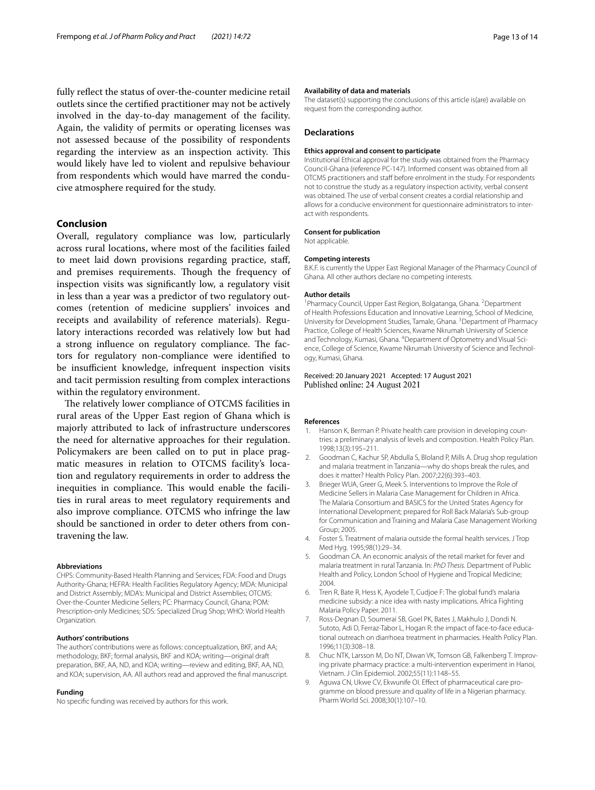fully refect the status of over-the-counter medicine retail outlets since the certifed practitioner may not be actively involved in the day-to-day management of the facility. Again, the validity of permits or operating licenses was not assessed because of the possibility of respondents regarding the interview as an inspection activity. This would likely have led to violent and repulsive behaviour from respondents which would have marred the conducive atmosphere required for the study.

## **Conclusion**

Overall, regulatory compliance was low, particularly across rural locations, where most of the facilities failed to meet laid down provisions regarding practice, staf, and premises requirements. Though the frequency of inspection visits was signifcantly low, a regulatory visit in less than a year was a predictor of two regulatory outcomes (retention of medicine suppliers' invoices and receipts and availability of reference materials). Regulatory interactions recorded was relatively low but had a strong influence on regulatory compliance. The factors for regulatory non-compliance were identifed to be insufficient knowledge, infrequent inspection visits and tacit permission resulting from complex interactions within the regulatory environment.

The relatively lower compliance of OTCMS facilities in rural areas of the Upper East region of Ghana which is majorly attributed to lack of infrastructure underscores the need for alternative approaches for their regulation. Policymakers are been called on to put in place pragmatic measures in relation to OTCMS facility's location and regulatory requirements in order to address the inequities in compliance. This would enable the facilities in rural areas to meet regulatory requirements and also improve compliance. OTCMS who infringe the law should be sanctioned in order to deter others from contravening the law.

#### **Abbreviations**

CHPS: Community-Based Health Planning and Services; FDA: Food and Drugs Authority-Ghana; HEFRA: Health Facilities Regulatory Agency; MDA: Municipal and District Assembly; MDA's: Municipal and District Assemblies; OTCMS: Over-the-Counter Medicine Sellers; PC: Pharmacy Council, Ghana; POM: Prescription-only Medicines; SDS: Specialized Drug Shop; WHO: World Health Organization.

#### **Authors' contributions**

The authors' contributions were as follows: conceptualization, BKF, and AA; methodology, BKF; formal analysis, BKF and KOA; writing—original draft preparation, BKF, AA, ND, and KOA; writing—review and editing, BKF, AA, ND, and KOA; supervision, AA. All authors read and approved the fnal manuscript.

#### **Funding**

No specifc funding was received by authors for this work.

#### **Availability of data and materials**

The dataset(s) supporting the conclusions of this article is(are) available on request from the corresponding author.

#### **Declarations**

#### **Ethics approval and consent to participate**

Institutional Ethical approval for the study was obtained from the Pharmacy Council-Ghana (reference PC-147). Informed consent was obtained from all OTCMS practitioners and staff before enrolment in the study. For respondents not to construe the study as a regulatory inspection activity, verbal consent was obtained. The use of verbal consent creates a cordial relationship and allows for a conducive environment for questionnaire administrators to interact with respondents.

#### **Consent for publication**

Not applicable.

#### **Competing interests**

B.K.F. is currently the Upper East Regional Manager of the Pharmacy Council of Ghana. All other authors declare no competing interests.

#### **Author details**

<sup>1</sup> Pharmacy Council, Upper East Region, Bolgatanga, Ghana. <sup>2</sup> Department of Health Professions Education and Innovative Learning, School of Medicine, University for Development Studies, Tamale, Ghana. <sup>3</sup> Department of Pharmacy Practice, College of Health Sciences, Kwame Nkrumah University of Science and Technology, Kumasi, Ghana. <sup>4</sup> Department of Optometry and Visual Science, College of Science, Kwame Nkrumah University of Science and Technology, Kumasi, Ghana.

#### Received: 20 January 2021 Accepted: 17 August 2021 Published online: 24 August 2021

#### **References**

- <span id="page-12-0"></span>1. Hanson K, Berman P. Private health care provision in developing countries: a preliminary analysis of levels and composition. Health Policy Plan. 1998;13(3):195–211.
- <span id="page-12-5"></span>2. Goodman C, Kachur SP, Abdulla S, Bloland P, Mills A. Drug shop regulation and malaria treatment in Tanzania—why do shops break the rules, and does it matter? Health Policy Plan. 2007;22(6):393–403.
- <span id="page-12-1"></span>3. Brieger WUA, Greer G, Meek S. Interventions to Improve the Role of Medicine Sellers in Malaria Case Management for Children in Africa. The Malaria Consortium and BASICS for the United States Agency for International Development; prepared for Roll Back Malaria's Sub-group for Communication and Training and Malaria Case Management Working Group; 2005.
- 4. Foster S. Treatment of malaria outside the formal health services. J Trop Med Hyg. 1995;98(1):29–34.
- 5. Goodman CA. An economic analysis of the retail market for fever and malaria treatment in rural Tanzania. In: *PhD Thesis.* Department of Public Health and Policy, London School of Hygiene and Tropical Medicine; 2004.
- <span id="page-12-2"></span>6. Tren R, Bate R, Hess K, Ayodele T, Cudjoe F: The global fund's malaria medicine subsidy: a nice idea with nasty implications. Africa Fighting Malaria Policy Paper. 2011.
- <span id="page-12-3"></span>7. Ross-Degnan D, Soumerai SB, Goel PK, Bates J, Makhulo J, Dondi N. Sutoto, Adi D, Ferraz-Tabor L, Hogan R: the impact of face-to-face educational outreach on diarrhoea treatment in pharmacies. Health Policy Plan. 1996;11(3):308–18.
- <span id="page-12-4"></span>8. Chuc NTK, Larsson M, Do NT, Diwan VK, Tomson GB, Falkenberg T. Improving private pharmacy practice: a multi-intervention experiment in Hanoi, Vietnam. J Clin Epidemiol. 2002;55(11):1148–55.
- 9. Aguwa CN, Ukwe CV, Ekwunife OI. Effect of pharmaceutical care programme on blood pressure and quality of life in a Nigerian pharmacy. Pharm World Sci. 2008;30(1):107–10.